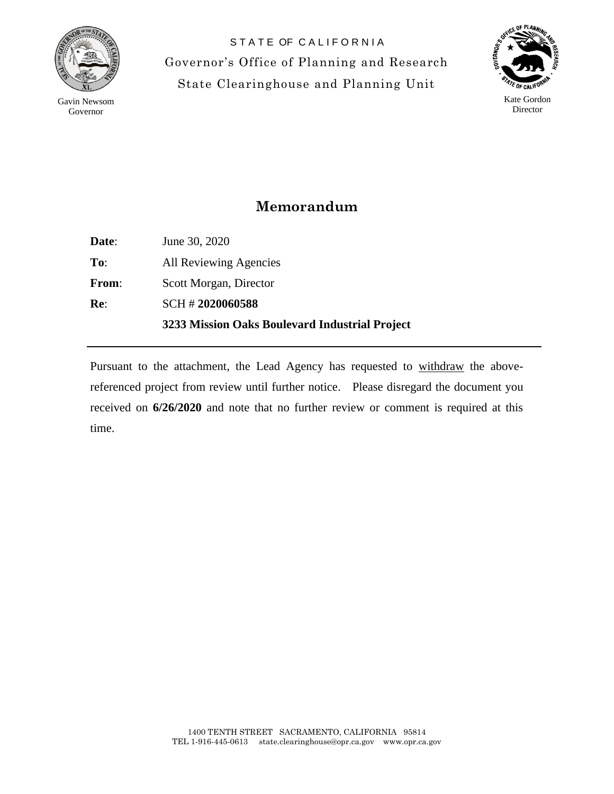

Gavin Newsom Governor

STATE OF CALIFORNIA Governor's Office of Planning and Research State Clearinghouse and Planning Unit



## **Memorandum**

|              | 3233 Mission Oaks Boulevard Industrial Project |
|--------------|------------------------------------------------|
| Re:          | SCH #2020060588                                |
| <b>From:</b> | Scott Morgan, Director                         |
| To:          | All Reviewing Agencies                         |
| Date:        | June 30, 2020                                  |

Pursuant to the attachment, the Lead Agency has requested to withdraw the abovereferenced project from review until further notice. Please disregard the document you received on **6/26/2020** and note that no further review or comment is required at this time.